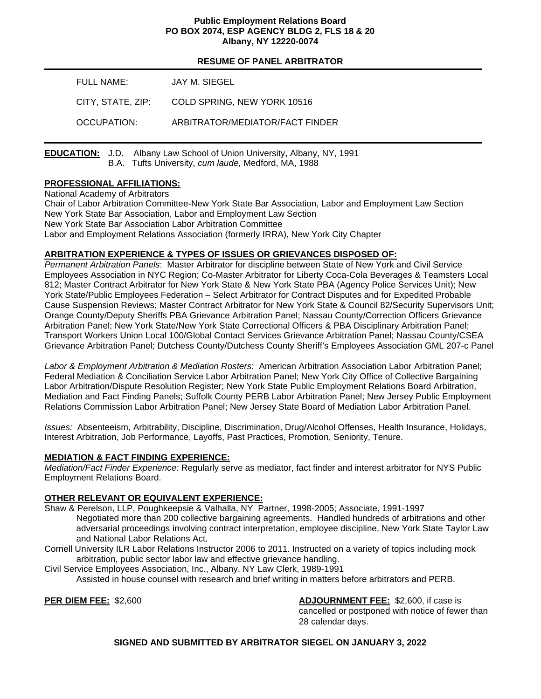### **Public Employment Relations Board PO BOX 2074, ESP AGENCY BLDG 2, FLS 18 & 20 Albany, NY 12220-0074**

## **RESUME OF PANEL ARBITRATOR**

| FULL NAME:        | JAY M. SIEGEL                   |
|-------------------|---------------------------------|
| CITY. STATE. ZIP: | COLD SPRING, NEW YORK 10516     |
| OCCUPATION:       | ARBITRATOR/MEDIATOR/FACT FINDER |

**EDUCATION:** J.D. Albany Law School of Union University, Albany, NY, 1991 B.A. Tufts University, *cum laude,* Medford, MA, 1988

### **PROFESSIONAL AFFILIATIONS:**

National Academy of Arbitrators Chair of Labor Arbitration Committee-New York State Bar Association, Labor and Employment Law Section New York State Bar Association, Labor and Employment Law Section New York State Bar Association Labor Arbitration Committee Labor and Employment Relations Association (formerly IRRA), New York City Chapter

# **ARBITRATION EXPERIENCE & TYPES OF ISSUES OR GRIEVANCES DISPOSED OF:**

*Permanent Arbitration Panels*: Master Arbitrator for discipline between State of New York and Civil Service Employees Association in NYC Region; Co-Master Arbitrator for Liberty Coca-Cola Beverages & Teamsters Local 812; Master Contract Arbitrator for New York State & New York State PBA (Agency Police Services Unit); New York State/Public Employees Federation – Select Arbitrator for Contract Disputes and for Expedited Probable Cause Suspension Reviews; Master Contract Arbitrator for New York State & Council 82/Security Supervisors Unit; Orange County/Deputy Sheriffs PBA Grievance Arbitration Panel; Nassau County/Correction Officers Grievance Arbitration Panel; New York State/New York State Correctional Officers & PBA Disciplinary Arbitration Panel; Transport Workers Union Local 100/Global Contact Services Grievance Arbitration Panel; Nassau County/CSEA Grievance Arbitration Panel; Dutchess County/Dutchess County Sheriff's Employees Association GML 207-c Panel

*Labor & Employment Arbitration & Mediation Rosters*: American Arbitration Association Labor Arbitration Panel; Federal Mediation & Conciliation Service Labor Arbitration Panel; New York City Office of Collective Bargaining Labor Arbitration/Dispute Resolution Register; New York State Public Employment Relations Board Arbitration, Mediation and Fact Finding Panels; Suffolk County PERB Labor Arbitration Panel; New Jersey Public Employment Relations Commission Labor Arbitration Panel; New Jersey State Board of Mediation Labor Arbitration Panel.

*Issues:* Absenteeism, Arbitrability, Discipline, Discrimination, Drug/Alcohol Offenses, Health Insurance, Holidays, Interest Arbitration, Job Performance, Layoffs, Past Practices, Promotion, Seniority, Tenure.

#### **MEDIATION & FACT FINDING EXPERIENCE:**

*Mediation/Fact Finder Experience:* Regularly serve as mediator, fact finder and interest arbitrator for NYS Public Employment Relations Board.

# **OTHER RELEVANT OR EQUIVALENT EXPERIENCE:**

- Shaw & Perelson, LLP, Poughkeepsie & Valhalla, NY Partner, 1998-2005; Associate, 1991-1997 Negotiated more than 200 collective bargaining agreements. Handled hundreds of arbitrations and other adversarial proceedings involving contract interpretation, employee discipline, New York State Taylor Law and National Labor Relations Act.
- Cornell University ILR Labor Relations Instructor 2006 to 2011. Instructed on a variety of topics including mock arbitration, public sector labor law and effective grievance handling.

Civil Service Employees Association, Inc., Albany, NY Law Clerk, 1989-1991 Assisted in house counsel with research and brief writing in matters before arbitrators and PERB.

**PER DIEM FEE:** \$2,600 **ADJOURNMENT FEE:** \$2,600, if case is cancelled or postponed with notice of fewer than 28 calendar days.

**SIGNED AND SUBMITTED BY ARBITRATOR SIEGEL ON JANUARY 3, 2022**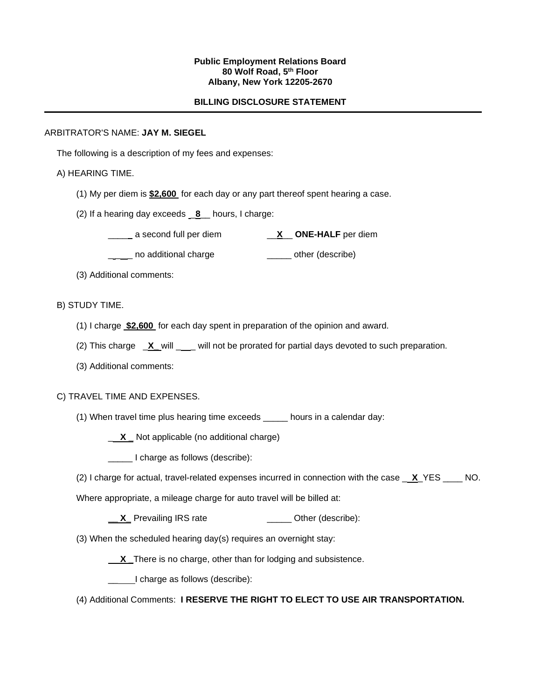### **Public Employment Relations Board 80 Wolf Road, 5th Floor Albany, New York 12205-2670**

### **BILLING DISCLOSURE STATEMENT**

### ARBITRATOR'S NAME: **JAY M. SIEGEL**

The following is a description of my fees and expenses:

## A) HEARING TIME.

- (1) My per diem is **\$2,600** for each day or any part thereof spent hearing a case.
- (2) If a hearing day exceeds \_**8**\_\_ hours, I charge:

\_\_\_\_a second full per diem \_\_**X**\_\_ **ONE-HALF** per diem

**\_\_\_\_** no additional charge **\_\_\_\_\_** other (describe)

(3) Additional comments:

## B) STUDY TIME.

- (1) I charge **\$2,600** for each day spent in preparation of the opinion and award.
- (2) This charge  $X$  will \_\_\_ will not be prorated for partial days devoted to such preparation.
- (3) Additional comments:

#### C) TRAVEL TIME AND EXPENSES.

(1) When travel time plus hearing time exceeds \_\_\_\_\_ hours in a calendar day:

\_ **X \_** Not applicable (no additional charge)

\_\_\_\_\_ I charge as follows (describe):

(2) I charge for actual, travel-related expenses incurred in connection with the case \_ **X**\_YES \_\_\_\_ NO.

Where appropriate, a mileage charge for auto travel will be billed at:

**X** Prevailing IRS rate \_\_\_\_\_\_\_\_\_\_\_\_\_\_\_ Other (describe):

(3) When the scheduled hearing day(s) requires an overnight stay:

**X** There is no charge, other than for lodging and subsistence.

**1.** I charge as follows (describe):

(4) Additional Comments: **I RESERVE THE RIGHT TO ELECT TO USE AIR TRANSPORTATION.**